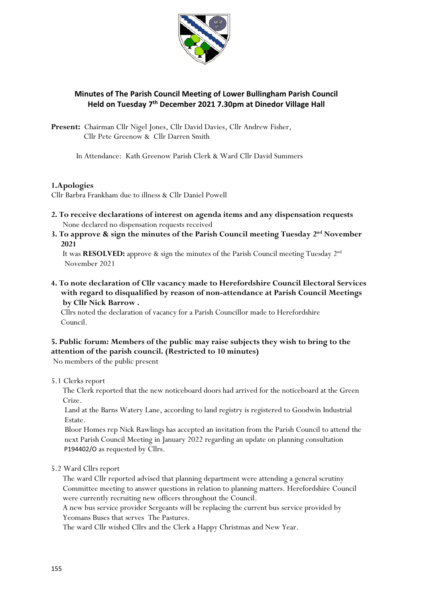

# **Minutes of The Parish Council Meeting of Lower Bullingham Parish Council Held on Tuesday 7 th December 2021 7.30pm at Dinedor Village Hall**

**Present:** Chairman Cllr Nigel Jones, Cllr David Davies, Cllr Andrew Fisher, Cllr Pete Greenow & Cllr Darren Smith

In Attendance: Kath Greenow Parish Clerk & Ward Cllr David Summers

## **1.Apologies**

Cllr Barbra Frankham due to illness & Cllr Daniel Powell

- **2. To receive declarations of interest on agenda items and any dispensation requests** None declared no dispensation requests received
- **3. To approve & sign the minutes of the Parish Council meeting Tuesday 2 nd November 2021**

It was **RESOLVED:** approve & sign the minutes of the Parish Council meeting Tuesday 2<sup>nd</sup> November 2021

**4. To note declaration of Cllr vacancy made to Herefordshire Council Electoral Services with regard to disqualified by reason of non-attendance at Parish Council Meetings by Cllr Nick Barrow .**

 Cllrs noted the declaration of vacancy for a Parish Councillor made to Herefordshire Council.

# **5. Public forum: Members of the public may raise subjects they wish to bring to the attention of the parish council. (Restricted to 10 minutes)**

No members of the public present

5.1 Clerks report

 The Clerk reported that the new noticeboard doors had arrived for the noticeboard at the Green Crize.

 Land at the Barns Watery Lane, according to land registry is registered to Goodwin Industrial Estate.

 Bloor Homes rep Nick Rawlings has accepted an invitation from the Parish Council to attend the next Parish Council Meeting in January 2022 regarding an update on planning consultation P194402/O as requested by Cllrs.

5.2 Ward Cllrs report

 The ward Cllr reported advised that planning department were attending a general scrutiny Committee meeting to answer questions in relation to planning matters. Herefordshire Council were currently recruiting new officers throughout the Council.

 A new bus service provider Sergeants will be replacing the current bus service provided by Yeomans Buses that serves The Pastures.

The ward Cllr wished Cllrs and the Clerk a Happy Christmas and New Year.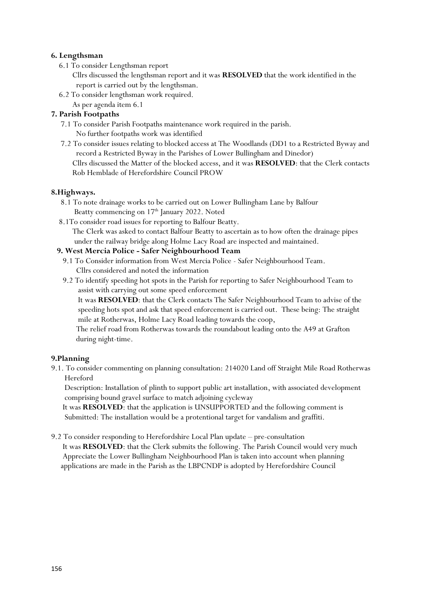## **6. Lengthsman**

6.1 To consider Lengthsman report

 Cllrs discussed the lengthsman report and it was **RESOLVED** that the work identified in the report is carried out by the lengthsman.

- 6.2 To consider lengthsman work required.
	- As per agenda item 6.1

## **7. Parish Footpaths**

- 7.1 To consider Parish Footpaths maintenance work required in the parish. No further footpaths work was identified
- 7.2 To consider issues relating to blocked access at The Woodlands (DD1 to a Restricted Byway and record a Restricted Byway in the Parishes of Lower Bullingham and Dinedor) Cllrs discussed the Matter of the blocked access, and it was **RESOLVED**: that the Clerk contacts Rob Hemblade of Herefordshire Council PROW

#### **8.Highways.**

- 8.1 To note drainage works to be carried out on Lower Bullingham Lane by Balfour Beatty commencing on 17<sup>th</sup> January 2022. Noted
- 8.1To consider road issues for reporting to Balfour Beatty.

 The Clerk was asked to contact Balfour Beatty to ascertain as to how often the drainage pipes under the railway bridge along Holme Lacy Road are inspected and maintained.

## **9. West Mercia Police - Safer Neighbourhood Team**

- 9.1 To Consider information from West Mercia Police Safer Neighbourhood Team. Cllrs considered and noted the information
- 9.2 To identify speeding hot spots in the Parish for reporting to Safer Neighbourhood Team to assist with carrying out some speed enforcement

 It was **RESOLVED**: that the Clerk contacts The Safer Neighbourhood Team to advise of the speeding hots spot and ask that speed enforcement is carried out. These being: The straight mile at Rotherwas, Holme Lacy Road leading towards the coop,

 The relief road from Rotherwas towards the roundabout leading onto the A49 at Grafton during night-time.

## **9.Planning**

9.1. To consider commenting on planning consultation: 214020 Land off Straight Mile Road Rotherwas Hereford

 Description: Installation of plinth to support public art installation, with associated development comprising bound gravel surface to match adjoining cycleway

 It was **RESOLVED**: that the application is UNSUPPORTED and the following comment is Submitted: The installation would be a protentional target for vandalism and graffiti.

9.2 To consider responding to Herefordshire Local Plan update – pre-consultation It was **RESOLVED**: that the Clerk submits the following. The Parish Council would very much Appreciate the Lower Bullingham Neighbourhood Plan is taken into account when planning applications are made in the Parish as the LBPCNDP is adopted by Herefordshire Council